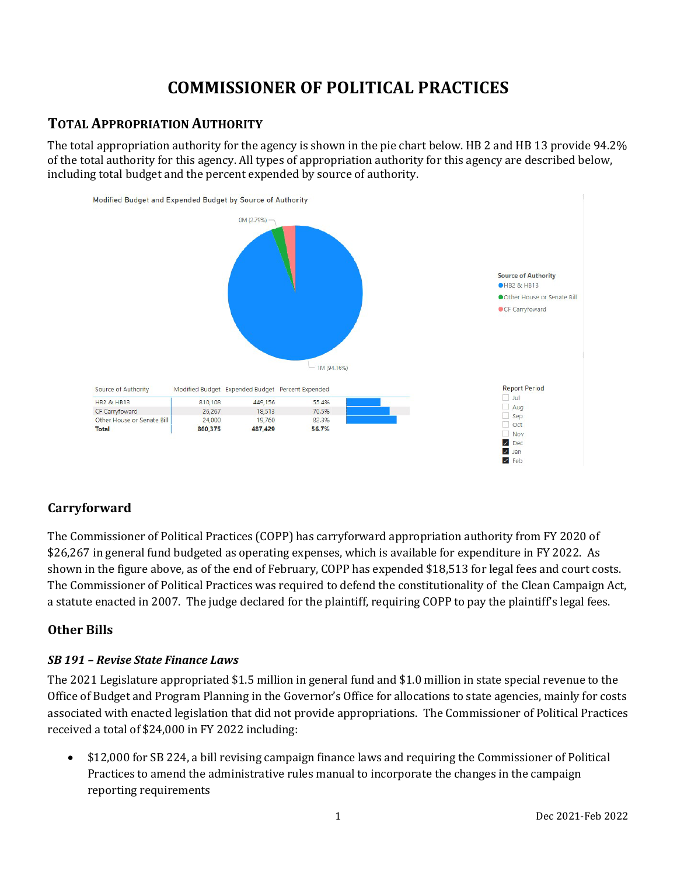# **COMMISSIONER OF POLITICAL PRACTICES**

## **TOTAL APPROPRIATION AUTHORITY**

The total appropriation authority for the agency is shown in the pie chart below. HB 2 and HB 13 provide 94.2% of the total authority for this agency. All types of appropriation authority for this agency are described below, including total budget and the percent expended by source of authority.



## **Carryforward**

The Commissioner of Political Practices (COPP) has carryforward appropriation authority from FY 2020 of \$26,267 in general fund budgeted as operating expenses, which is available for expenditure in FY 2022. As shown in the figure above, as of the end of February, COPP has expended \$18,513 for legal fees and court costs. The Commissioner of Political Practices was required to defend the constitutionality of the Clean Campaign Act, a statute enacted in 2007. The judge declared for the plaintiff, requiring COPP to pay the plaintiff's legal fees.

## **Other Bills**

### *SB 191 – Revise State Finance Laws*

The 2021 Legislature appropriated \$1.5 million in general fund and \$1.0 million in state special revenue to the Office of Budget and Program Planning in the Governor's Office for allocations to state agencies, mainly for costs associated with enacted legislation that did not provide appropriations. The Commissioner of Political Practices received a total of \$24,000 in FY 2022 including:

• \$12,000 for SB 224, a bill revising campaign finance laws and requiring the Commissioner of Political Practices to amend the administrative rules manual to incorporate the changes in the campaign reporting requirements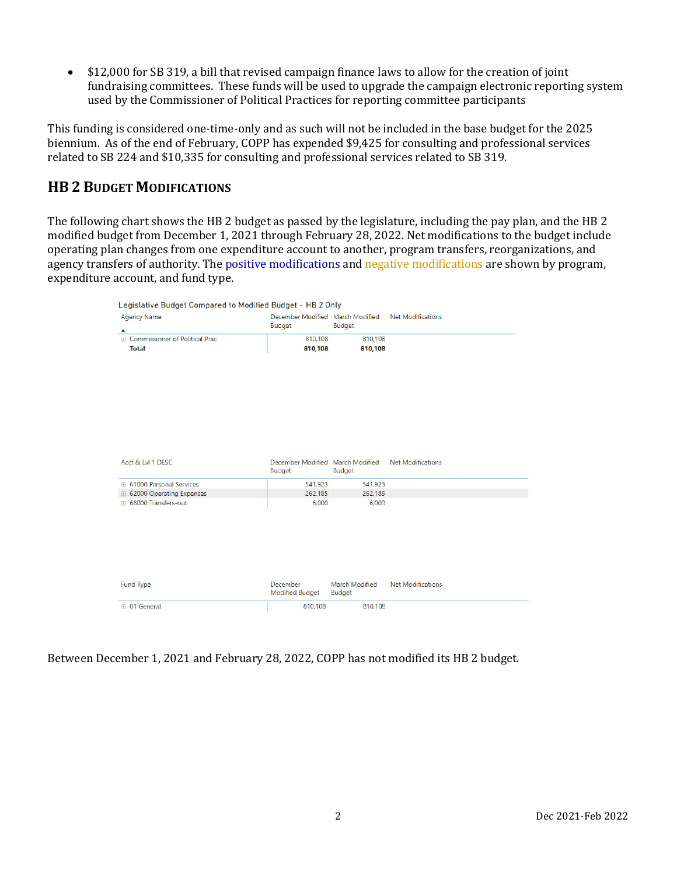• \$12,000 for SB 319, a bill that revised campaign finance laws to allow for the creation of joint fundraising committees. These funds will be used to upgrade the campaign electronic reporting system used by the Commissioner of Political Practices for reporting committee participants

This funding is considered one-time-only and as such will not be included in the base budget for the 2025 biennium. As of the end of February, COPP has expended \$9,425 for consulting and professional services related to SB 224 and \$10,335 for consulting and professional services related to SB 319.

### **HB 2 BUDGET MODIFICATIONS**

The following chart shows the HB 2 budget as passed by the legislature, including the pay plan, and the HB 2 modified budget from December 1, 2021 through February 28, 2022. Net modifications to the budget include operating plan changes from one expenditure account to another, program transfers, reorganizations, and agency transfers of authority. The positive modifications and negative modifications are shown by program, expenditure account, and fund type.

| $\blacktriangle$<br>E Commissioner of Political Prac<br>810,108<br>810,108<br>Total<br>810,108<br>810,108<br>Acct & Lvl 1 DESC<br>December Modified March Modified<br><b>Net Modifications</b><br><b>Budget</b><br><b>Budget</b><br>61000 Personal Services<br>541.923<br>541.923<br>$\left  + \right $<br>□ 62000 Operating Expenses<br>262.185<br>262.185<br>⊞ 68000 Transfers-out<br>6.000<br>6,000<br>December<br>March Modified<br><b>Net Modifications</b><br><b>Fund Type</b><br>Modified Budget<br>Budget | <b>Agency Name</b> | December Modified March Modified<br>Budget | Budget  | <b>Net Modifications</b> |
|-------------------------------------------------------------------------------------------------------------------------------------------------------------------------------------------------------------------------------------------------------------------------------------------------------------------------------------------------------------------------------------------------------------------------------------------------------------------------------------------------------------------|--------------------|--------------------------------------------|---------|--------------------------|
|                                                                                                                                                                                                                                                                                                                                                                                                                                                                                                                   |                    |                                            |         |                          |
|                                                                                                                                                                                                                                                                                                                                                                                                                                                                                                                   |                    |                                            |         |                          |
|                                                                                                                                                                                                                                                                                                                                                                                                                                                                                                                   |                    |                                            |         |                          |
|                                                                                                                                                                                                                                                                                                                                                                                                                                                                                                                   |                    |                                            |         |                          |
|                                                                                                                                                                                                                                                                                                                                                                                                                                                                                                                   |                    |                                            |         |                          |
|                                                                                                                                                                                                                                                                                                                                                                                                                                                                                                                   |                    |                                            |         |                          |
|                                                                                                                                                                                                                                                                                                                                                                                                                                                                                                                   |                    |                                            |         |                          |
|                                                                                                                                                                                                                                                                                                                                                                                                                                                                                                                   |                    |                                            |         |                          |
|                                                                                                                                                                                                                                                                                                                                                                                                                                                                                                                   | ⊞ 01 General       | 810,108                                    | 810.108 |                          |

Between December 1, 2021 and February 28, 2022, COPP has not modified its HB 2 budget.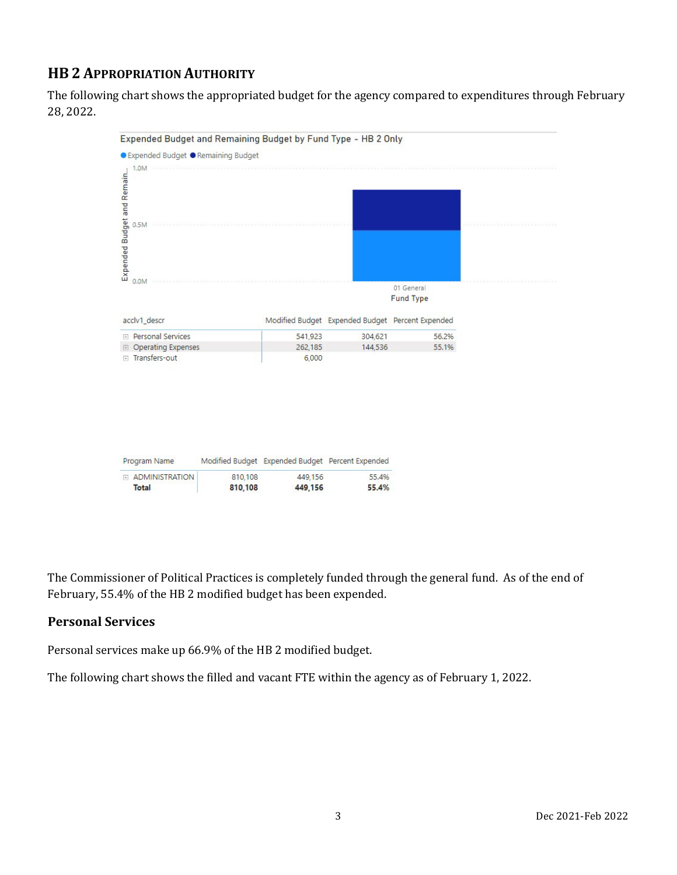# **HB 2 APPROPRIATION AUTHORITY**

The following chart shows the appropriated budget for the agency compared to expenditures through February 28, 2022.



The Commissioner of Political Practices is completely funded through the general fund. As of the end of February, 55.4% of the HB 2 modified budget has been expended.

### **Personal Services**

Personal services make up 66.9% of the HB 2 modified budget.

The following chart shows the filled and vacant FTE within the agency as of February 1, 2022.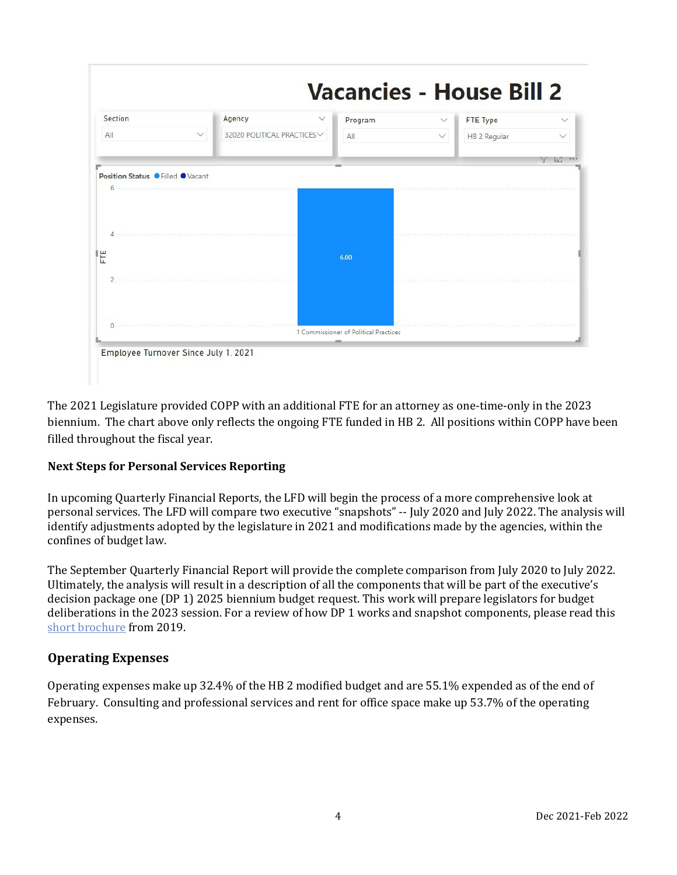

The 2021 Legislature provided COPP with an additional FTE for an attorney as one-time-only in the 2023 biennium. The chart above only reflects the ongoing FTE funded in HB 2. All positions within COPP have been filled throughout the fiscal year.

#### **Next Steps for Personal Services Reporting**

In upcoming Quarterly Financial Reports, the LFD will begin the process of a more comprehensive look at personal services. The LFD will compare two executive "snapshots" -- July 2020 and July 2022. The analysis will identify adjustments adopted by the legislature in 2021 and modifications made by the agencies, within the confines of budget law.

The September Quarterly Financial Report will provide the complete comparison from July 2020 to July 2022. Ultimately, the analysis will result in a description of all the components that will be part of the executive's decision package one (DP 1) 2025 biennium budget request. This work will prepare legislators for budget deliberations in the 2023 session. For a review of how DP 1 works and snapshot components, please read this [short brochure](https://montana.maps.arcgis.com/apps/Cascade/index.html?appid=23095fcf15754f4fb38b63c58a884b97) from 2019.

#### **Operating Expenses**

Operating expenses make up 32.4% of the HB 2 modified budget and are 55.1% expended as of the end of February. Consulting and professional services and rent for office space make up 53.7% of the operating expenses.